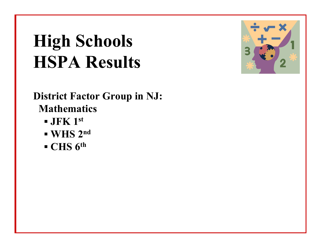## **High Schools HSPA Results**

**District Factor Group in NJ: Mathematics**

- **▪ JFK 1st**
- **▪ WHS 2nd**
- **▪ CHS 6th**

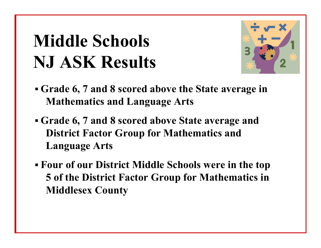#### **Middle Schools NJ ASK Results**



- **▪ Grade 6, 7 and 8 scored above the State average in Mathematics and Language Arts**
- **▪ Grade 6, 7 and 8 scored above State average and District Factor Group for Mathematics and Language Arts**
- **▪ Four of our District Middle Schools were in the top 5 of the District Factor Group for Mathematics in Middlesex County**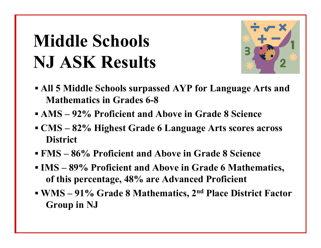#### **Middle Schools NJ ASK Results**



- **▪ All 5 Middle Schools surpassed AYP for Language Arts and Mathematics in Grades 6-8**
- **▪ AMS – 92% Proficient and Above in Grade 8 Science**
- **▪ CMS – 82% Highest Grade 6 Language Arts scores across District**
- **▪ FMS – 86% Proficient and Above in Grade 8 Science**
- **▪ IMS – 89% Proficient and Above in Grade 6 Mathematics, of this percentage, 48% are Advanced Proficient**
- **▪ WMS – 91% Grade 8 Mathematics, 2nd Place District Factor Group in NJ**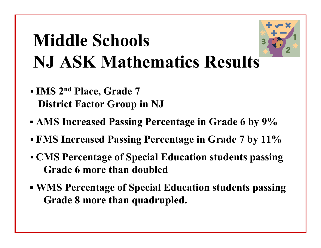# **Middle Schools NJ ASK Mathematics Results**



- **▪ IMS 2nd Place, Grade 7 District Factor Group in NJ**
- **▪ AMS Increased Passing Percentage in Grade 6 by 9%**
- **▪ FMS Increased Passing Percentage in Grade 7 by 11%**
- **▪ CMS Percentage of Special Education students passing Grade 6 more than doubled**
- **▪ WMS Percentage of Special Education students passing Grade 8 more than quadrupled.**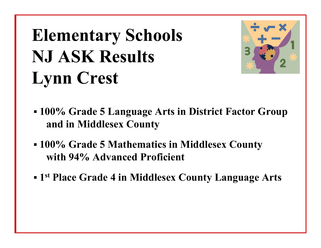# **Elementary Schools NJ ASK Results Lynn Crest**



- **▪ 100% Grade 5 Language Arts in District Factor Group and in Middlesex County**
- **▪ 100% Grade 5 Mathematics in Middlesex County with 94% Advanced Proficient**
- **▪ 1st Place Grade 4 in Middlesex County Language Arts**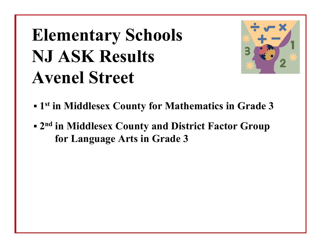# **Elementary Schools NJ ASK Results Avenel Street**



- **▪ 1st in Middlesex County for Mathematics in Grade 3**
- **▪ 2nd in Middlesex County and District Factor Group for Language Arts in Grade 3**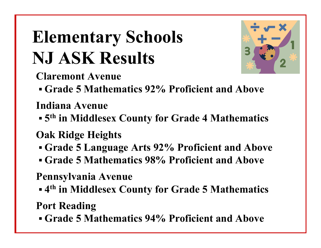# **Elementary Schools NJ ASK Results**



**Claremont Avenue**

**▪ Grade 5 Mathematics 92% Proficient and Above** 

**Indiana Avenue**

- **▪ 5th in Middlesex County for Grade 4 Mathematics**
- **Oak Ridge Heights**
- **▪ Grade 5 Language Arts 92% Proficient and Above**
- **▪ Grade 5 Mathematics 98% Proficient and Above**

**Pennsylvania Avenue**

**▪ 4th in Middlesex County for Grade 5 Mathematics**

**Port Reading**

**▪ Grade 5 Mathematics 94% Proficient and Above**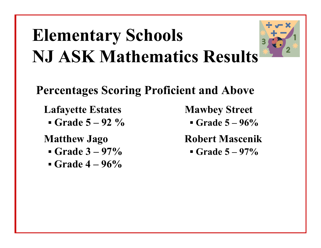# **Elementary Schools NJ ASK Mathematics Results**



#### **Percentages Scoring Proficient and Above**

**Lafayette Estates Mawbey Street**

**▪ Grade 5 – 92 %** 

- **▪ Grade 3 – 97%**
- **▪ Grade 4 – 96%**

**▪ Grade 5 – 96%**

**Matthew Jago Robert Mascenik**

**▪ Grade 5 – 97%**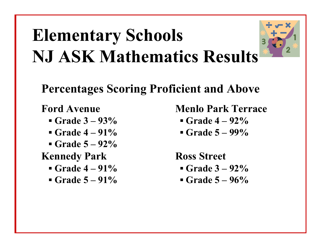# **Elementary Schools NJ ASK Mathematics Results**



- **▪ Grade 3 – 93%**
- **▪ Grade 4 – 91%**
- **▪ Grade 5 – 92%**

**Kennedy Park Ross Street**

- **▪ Grade 4 – 91%**
- **▪ Grade 5 – 91%**

**Ford Avenue Menlo Park Terrace**

- **▪ Grade 4 – 92%**
- **▪ Grade 5 – 99%**

- **▪ Grade 3 – 92%**
- **▪ Grade 5 – 96%**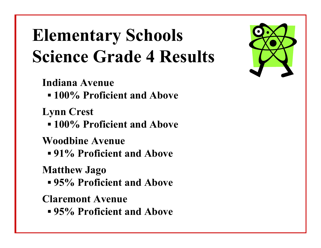### **Elementary Schools Science Grade 4 Results**

**Indiana Avenue**

**▪ 100% Proficient and Above**

**Lynn Crest**

**▪ 100% Proficient and Above**

**Woodbine Avenue**

**▪ 91% Proficient and Above**

**Matthew Jago**

**▪ 95% Proficient and Above**

**Claremont Avenue**

**▪ 95% Proficient and Above**

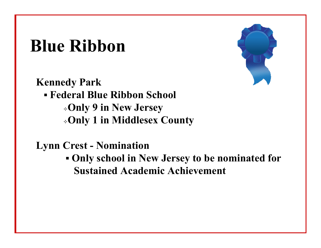#### **Blue Ribbon**

**Kennedy Park ▪ Federal Blue Ribbon School Only 9 in New Jersey Only 1 in Middlesex County**

**Lynn Crest - Nomination**

**▪ Only school in New Jersey to be nominated for Sustained Academic Achievement**

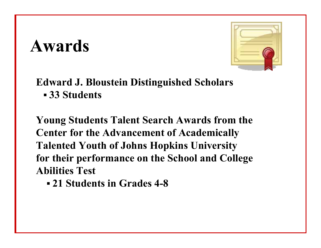#### **Awards**



#### **Edward J. Bloustein Distinguished Scholars ▪ 33 Students**

**Young Students Talent Search Awards from the Center for the Advancement of Academically Talented Youth of Johns Hopkins University for their performance on the School and College Abilities Test**

**▪ 21 Students in Grades 4-8**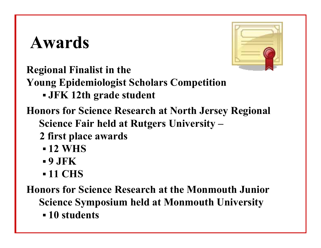#### **Awards**



**Regional Finalist in the**

**Young Epidemiologist Scholars Competition** 

**▪ JFK 12th grade student** 

**Honors for Science Research at North Jersey Regional Science Fair held at Rutgers University –**

- **2 first place awards** 
	- **▪ 12 WHS**
	- **▪ 9 JFK**
	- **▪ 11 CHS**

**Honors for Science Research at the Monmouth Junior Science Symposium held at Monmouth University**

**▪ 10 students**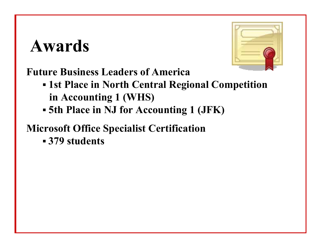#### **Awards**



**Future Business Leaders of America**

- **▪ 1st Place in North Central Regional Competition in Accounting 1 (WHS)**
- **▪ 5th Place in NJ for Accounting 1 (JFK)**

#### **Microsoft Office Specialist Certification**

**▪ 379 students**